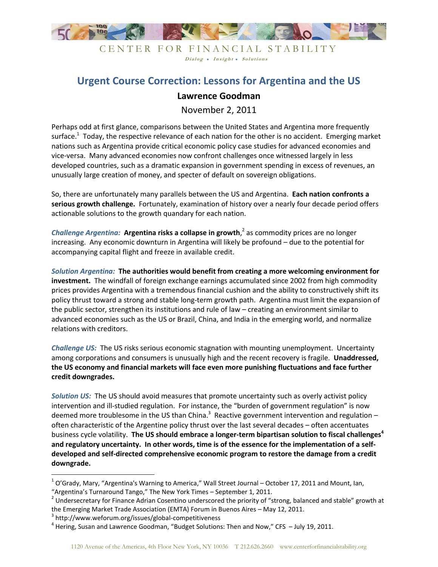

# CENTER FOR FINANCIAL STABILITY Dialog • Insight • Solutions

# **Urgent Course Correction: Lessons for Argentina and the US**

# **Lawrence Goodman**

November 2, 2011

Perhaps odd at first glance, comparisons between the United States and Argentina more frequently surface.<sup>1</sup> Today, the respective relevance of each nation for the other is no accident. Emerging market nations such as Argentina provide critical economic policy case studies for advanced economies and vice-versa. Many advanced economies now confront challenges once witnessed largely in less developed countries, such as a dramatic expansion in government spending in excess of revenues, an unusually large creation of money, and specter of default on sovereign obligations.

So, there are unfortunately many parallels between the US and Argentina. **Each nation confronts a serious growth challenge.** Fortunately, examination of history over a nearly four decade period offers actionable solutions to the growth quandary for each nation.

*Challenge Argentina:* **Argentina risks a collapse in growth**, 2 as commodity prices are no longer increasing. Any economic downturn in Argentina will likely be profound – due to the potential for accompanying capital flight and freeze in available credit.

*Solution Argentina:* **The authorities would benefit from creating a more welcoming environment for investment.** The windfall of foreign exchange earnings accumulated since 2002 from high commodity prices provides Argentina with a tremendous financial cushion and the ability to constructively shift its policy thrust toward a strong and stable long-term growth path. Argentina must limit the expansion of the public sector, strengthen its institutions and rule of law – creating an environment similar to advanced economies such as the US or Brazil, China, and India in the emerging world, and normalize relations with creditors.

*Challenge US:* The US risks serious economic stagnation with mounting unemployment. Uncertainty among corporations and consumers is unusually high and the recent recovery is fragile. **Unaddressed, the US economy and financial markets will face even more punishing fluctuations and face further credit downgrades.** 

*Solution US:* The US should avoid measures that promote uncertainty such as overly activist policy intervention and ill-studied regulation. For instance, the "burden of government regulation" is now deemed more troublesome in the US than China.<sup>3</sup> Reactive government intervention and regulation – often characteristic of the Argentine policy thrust over the last several decades – often accentuates business cycle volatility. **The US should embrace a longer-term bipartisan solution to fiscal challenges<sup>4</sup> and regulatory uncertainty. In other words, time is of the essence for the implementation of a selfdeveloped and self-directed comprehensive economic program to restore the damage from a credit downgrade.**

 $\overline{\phantom{a}}$ 

 $^{1}$  O'Grady, Mary, "Argentina's Warning to America," Wall Street Journal – October 17, 2011 and Mount, Ian, "Argentina's Turnaround Tango," The New York Times – September 1, 2011.

<sup>&</sup>lt;sup>2</sup> Undersecretary for Finance Adrian Cosentino underscored the priority of "strong, balanced and stable" growth at the Emerging Market Trade Association (EMTA) Forum in Buenos Aires – May 12, 2011.

<sup>3</sup> http://www.weforum.org/issues/global-competitiveness

<sup>&</sup>lt;sup>4</sup> Hering, Susan and Lawrence Goodman, "Budget Solutions: Then and Now," CFS - July 19, 2011.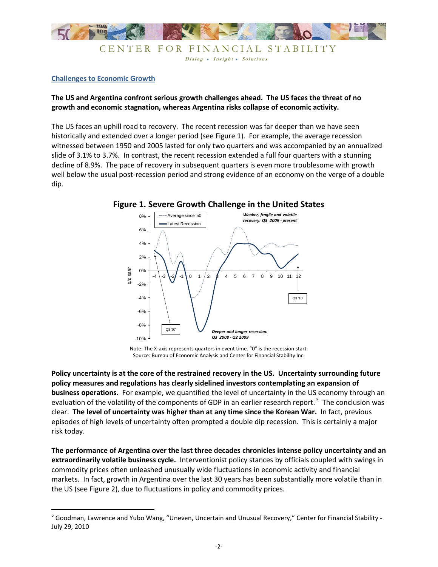

### **Challenges to Economic Growth**

 $\overline{a}$ 

# **The US and Argentina confront serious growth challenges ahead. The US faces the threat of no growth and economic stagnation, whereas Argentina risks collapse of economic activity.**

The US faces an uphill road to recovery. The recent recession was far deeper than we have seen historically and extended over a longer period (see Figure 1). For example, the average recession witnessed between 1950 and 2005 lasted for only two quarters and was accompanied by an annualized slide of 3.1% to 3.7%. In contrast, the recent recession extended a full four quarters with a stunning decline of 8.9%. The pace of recovery in subsequent quarters is even more troublesome with growth well below the usual post-recession period and strong evidence of an economy on the verge of a double dip.



Note: The X-axis represents quarters in event time. "0" is the recession start. Source: Bureau of Economic Analysis and Center for Financial Stability Inc.

**Policy uncertainty is at the core of the restrained recovery in the US. Uncertainty surrounding future policy measures and regulations has clearly sidelined investors contemplating an expansion of business operations.** For example, we quantified the level of uncertainty in the US economy through an evaluation of the volatility of the components of GDP in an earlier research report. <sup>5</sup> The conclusion was clear. **The level of uncertainty was higher than at any time since the Korean War.** In fact, previous episodes of high levels of uncertainty often prompted a double dip recession. This is certainly a major risk today.

**The performance of Argentina over the last three decades chronicles intense policy uncertainty and an extraordinarily volatile business cycle.** Interventionist policy stances by officials coupled with swings in commodity prices often unleashed unusually wide fluctuations in economic activity and financial markets. In fact, growth in Argentina over the last 30 years has been substantially more volatile than in the US (see Figure 2), due to fluctuations in policy and commodity prices.

<sup>&</sup>lt;sup>5</sup> Goodman, Lawrence and Yubo Wang, "Uneven, Uncertain and Unusual Recovery," Center for Financial Stability -July 29, 2010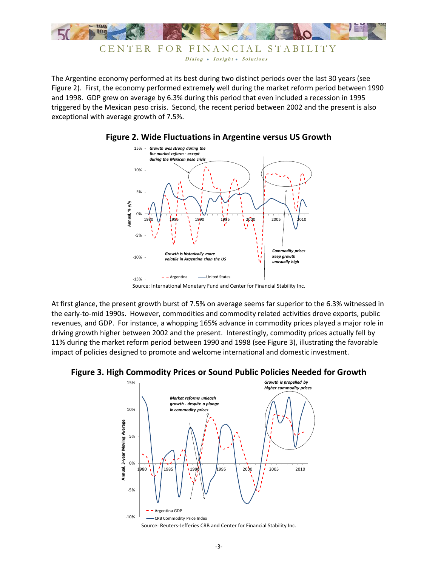

The Argentine economy performed at its best during two distinct periods over the last 30 years (see Figure 2). First, the economy performed extremely well during the market reform period between 1990 and 1998. GDP grew on average by 6.3% during this period that even included a recession in 1995 triggered by the Mexican peso crisis. Second, the recent period between 2002 and the present is also exceptional with average growth of 7.5%.



**Figure 2. Wide Fluctuations in Argentine versus US Growth**

Source: International Monetary Fund and Center for Financial Stability Inc.

At first glance, the present growth burst of 7.5% on average seems far superior to the 6.3% witnessed in the early-to-mid 1990s. However, commodities and commodity related activities drove exports, public revenues, and GDP. For instance, a whopping 165% advance in commodity prices played a major role in driving growth higher between 2002 and the present. Interestingly, commodity prices actually fell by 11% during the market reform period between 1990 and 1998 (see Figure 3), illustrating the favorable impact of policies designed to promote and welcome international and domestic investment.

# **Figure 3. High Commodity Prices or Sound Public Policies Needed for Growth**

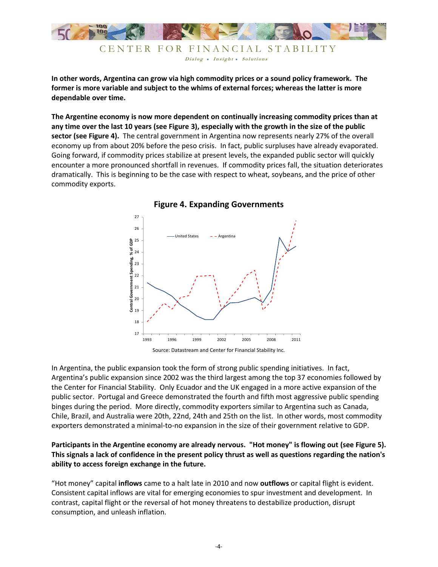

**In other words, Argentina can grow via high commodity prices or a sound policy framework. The former is more variable and subject to the whims of external forces; whereas the latter is more dependable over time.**

**The Argentine economy is now more dependent on continually increasing commodity prices than at any time over the last 10 years (see Figure 3), especially with the growth in the size of the public sector (see Figure 4).** The central government in Argentina now represents nearly 27% of the overall economy up from about 20% before the peso crisis. In fact, public surpluses have already evaporated. Going forward, if commodity prices stabilize at present levels, the expanded public sector will quickly encounter a more pronounced shortfall in revenues. If commodity prices fall, the situation deteriorates dramatically. This is beginning to be the case with respect to wheat, soybeans, and the price of other commodity exports.



**Figure 4. Expanding Governments**

In Argentina, the public expansion took the form of strong public spending initiatives. In fact, Argentina's public expansion since 2002 was the third largest among the top 37 economies followed by the Center for Financial Stability. Only Ecuador and the UK engaged in a more active expansion of the public sector. Portugal and Greece demonstrated the fourth and fifth most aggressive public spending binges during the period. More directly, commodity exporters similar to Argentina such as Canada, Chile, Brazil, and Australia were 20th, 22nd, 24th and 25th on the list. In other words, most commodity exporters demonstrated a minimal-to-no expansion in the size of their government relative to GDP.

# **Participants in the Argentine economy are already nervous. "Hot money" is flowing out (see Figure 5). This signals a lack of confidence in the present policy thrust as well as questions regarding the nation's ability to access foreign exchange in the future.**

"Hot money" capital **inflows** came to a halt late in 2010 and now **outflows** or capital flight is evident. Consistent capital inflows are vital for emerging economies to spur investment and development. In contrast, capital flight or the reversal of hot money threatens to destabilize production, disrupt consumption, and unleash inflation.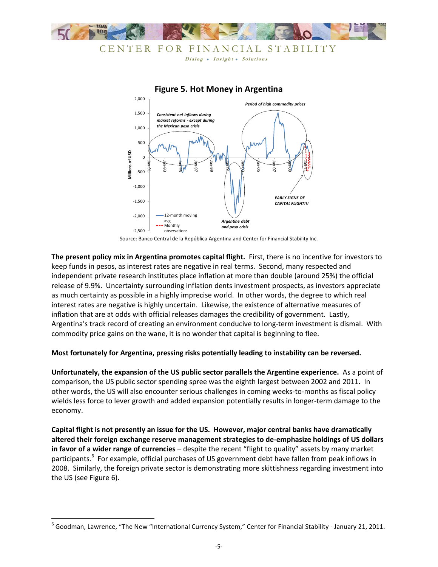



### **Figure 5. Hot Money in Argentina**

Source: Banco Central de la República Argentina and Center for Financial Stability Inc.

**The present policy mix in Argentina promotes capital flight.** First, there is no incentive for investors to keep funds in pesos, as interest rates are negative in real terms. Second, many respected and independent private research institutes place inflation at more than double (around 25%) the official release of 9.9%. Uncertainty surrounding inflation dents investment prospects, as investors appreciate as much certainty as possible in a highly imprecise world. In other words, the degree to which real interest rates are negative is highly uncertain. Likewise, the existence of alternative measures of inflation that are at odds with official releases damages the credibility of government. Lastly, Argentina's track record of creating an environment conducive to long-term investment is dismal. With commodity price gains on the wane, it is no wonder that capital is beginning to flee.

### **Most fortunately for Argentina, pressing risks potentially leading to instability can be reversed.**

**Unfortunately, the expansion of the US public sector parallels the Argentine experience.** As a point of comparison, the US public sector spending spree was the eighth largest between 2002 and 2011. In other words, the US will also encounter serious challenges in coming weeks-to-months as fiscal policy wields less force to lever growth and added expansion potentially results in longer-term damage to the economy.

**Capital flight is not presently an issue for the US. However, major central banks have dramatically altered their foreign exchange reserve management strategies to de-emphasize holdings of US dollars in favor of a wider range of currencies** – despite the recent "flight to quality" assets by many market participants.<sup>6</sup> For example, official purchases of US government debt have fallen from peak inflows in 2008. Similarly, the foreign private sector is demonstrating more skittishness regarding investment into the US (see Figure 6).

l

 $^6$  Goodman, Lawrence, "The New "International Currency System," Center for Financial Stability - January 21, 2011.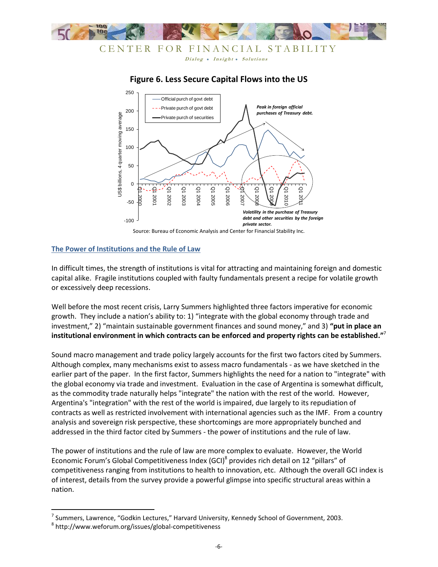



# **Figure 6. Less Secure Capital Flows into the US**

### **The Power of Institutions and the Rule of Law**

In difficult times, the strength of institutions is vital for attracting and maintaining foreign and domestic capital alike. Fragile institutions coupled with faulty fundamentals present a recipe for volatile growth or excessively deep recessions.

Well before the most recent crisis, Larry Summers highlighted three factors imperative for economic growth. They include a nation's ability to: 1) "integrate with the global economy through trade and investment," 2) "maintain sustainable government finances and sound money," and 3) **"put in place an institutional environment in which contracts can be enforced and property rights can be established."**<sup>7</sup>

Sound macro management and trade policy largely accounts for the first two factors cited by Summers. Although complex, many mechanisms exist to assess macro fundamentals - as we have sketched in the earlier part of the paper. In the first factor, Summers highlights the need for a nation to "integrate" with the global economy via trade and investment. Evaluation in the case of Argentina is somewhat difficult, as the commodity trade naturally helps "integrate" the nation with the rest of the world. However, Argentina's "integration" with the rest of the world is impaired, due largely to its repudiation of contracts as well as restricted involvement with international agencies such as the IMF. From a country analysis and sovereign risk perspective, these shortcomings are more appropriately bunched and addressed in the third factor cited by Summers - the power of institutions and the rule of law.

The power of institutions and the rule of law are more complex to evaluate. However, the World Economic Forum's Global Competitiveness Index (GCI)<sup>8</sup> provides rich detail on 12 "pillars" of competitiveness ranging from institutions to health to innovation, etc. Although the overall GCI index is of interest, details from the survey provide a powerful glimpse into specific structural areas within a nation.

Source: Bureau of Economic Analysis and Center for Financial Stability Inc.

 7 Summers, Lawrence, "Godkin Lectures," Harvard University, Kennedy School of Government, 2003.

<sup>8</sup> http://www.weforum.org/issues/global-competitiveness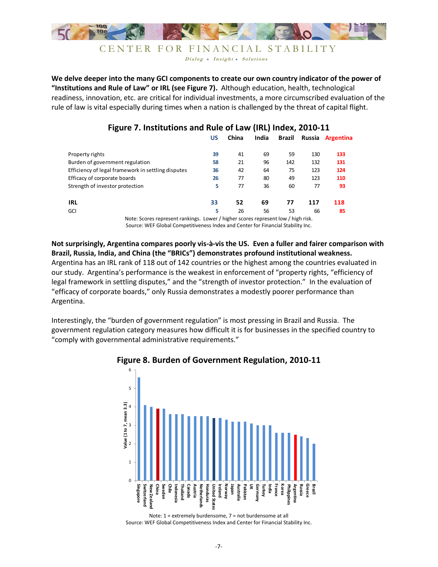

### CENTER FOR FINANCIAL STABILITY Dialog • Insight • Solutions

**We delve deeper into the many GCI components to create our own country indicator of the power of "Institutions and Rule of Law" or IRL (see Figure 7).** Although education, health, technological readiness, innovation, etc. are critical for individual investments, a more circumscribed evaluation of the rule of law is vital especially during times when a nation is challenged by the threat of capital flight.

|                                                                                          | US | China | India | Brazil | Russia | <b>Argentina</b> |
|------------------------------------------------------------------------------------------|----|-------|-------|--------|--------|------------------|
| Property rights                                                                          | 39 | 41    | 69    | 59     | 130    | 133              |
| Burden of government regulation                                                          | 58 | 21    | 96    | 142    | 132    | 131              |
| Efficiency of legal framework in settling disputes                                       | 36 | 42    | 64    | 75     | 123    | 124              |
| Efficacy of corporate boards                                                             | 26 | 77    | 80    | 49     | 123    | 110              |
| Strength of investor protection                                                          | 5  | 77    | 36    | 60     | 77     | 93               |
| <b>IRL</b>                                                                               | 33 | 52    | 69    | 77     | 117    | 118              |
| GCI                                                                                      | 5  | 26    | 56    | 53     | 66     | 85               |
| Alata: Canusa pengenah pendidang - Larrian / biaban sengan pengenah larri / biab pial. . |    |       |       |        |        |                  |

# **Figure 7. Institutions and Rule of Law (IRL) Index, 2010-11**

Note: Scores represent rankings. Lower / higher scores represent low / high risk. Source: WEF Global Competitiveness Index and Center for Financial Stability Inc.

**Not surprisingly, Argentina compares poorly vis-à-vis the US. Even a fuller and fairer comparison with Brazil, Russia, India, and China (the "BRICs") demonstrates profound institutional weakness.** Argentina has an IRL rank of 118 out of 142 countries or the highest among the countries evaluated in our study. Argentina's performance is the weakest in enforcement of "property rights, "efficiency of legal framework in settling disputes," and the "strength of investor protection." In the evaluation of "efficacy of corporate boards," only Russia demonstrates a modestly poorer performance than Argentina.

Interestingly, the "burden of government regulation" is most pressing in Brazil and Russia. The government regulation category measures how difficult it is for businesses in the specified country to "comply with governmental administrative requirements."



# **Figure 8. Burden of Government Regulation, 2010-11**

Note: 1 = extremely burdensome, 7 = not burdensome at all Source: WEF Global Competitiveness Index and Center for Financial Stability Inc.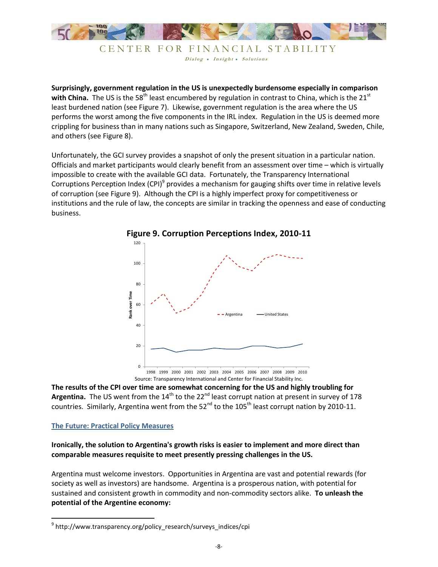

CENTER FOR FINANCIAL STABILITY Dialog . Insight . Solutions

**Surprisingly, government regulation in the US is unexpectedly burdensome especially in comparison**  with China. The US is the 58<sup>th</sup> least encumbered by regulation in contrast to China, which is the 21<sup>st</sup> least burdened nation (see Figure 7). Likewise, government regulation is the area where the US performs the worst among the five components in the IRL index. Regulation in the US is deemed more crippling for business than in many nations such as Singapore, Switzerland, New Zealand, Sweden, Chile, and others (see Figure 8).

Unfortunately, the GCI survey provides a snapshot of only the present situation in a particular nation. Officials and market participants would clearly benefit from an assessment over time – which is virtually impossible to create with the available GCI data. Fortunately, the Transparency International Corruptions Perception Index (CPI)<sup>9</sup> provides a mechanism for gauging shifts over time in relative levels of corruption (see Figure 9). Although the CPI is a highly imperfect proxy for competitiveness or institutions and the rule of law, the concepts are similar in tracking the openness and ease of conducting business.



**Figure 9. Corruption Perceptions Index, 2010-11**

**The results of the CPI over time are somewhat concerning for the US and highly troubling for**  Argentina. The US went from the 14<sup>th</sup> to the 22<sup>nd</sup> least corrupt nation at present in survey of 178 countries. Similarly, Argentina went from the  $52<sup>nd</sup>$  to the  $105<sup>th</sup>$  least corrupt nation by 2010-11.

### **The Future: Practical Policy Measures**

l

## **Ironically, the solution to Argentina's growth risks is easier to implement and more direct than comparable measures requisite to meet presently pressing challenges in the US.**

Argentina must welcome investors. Opportunities in Argentina are vast and potential rewards (for society as well as investors) are handsome. Argentina is a prosperous nation, with potential for sustained and consistent growth in commodity and non-commodity sectors alike. **To unleash the potential of the Argentine economy:**

<sup>9</sup> http://www.transparency.org/policy\_research/surveys\_indices/cpi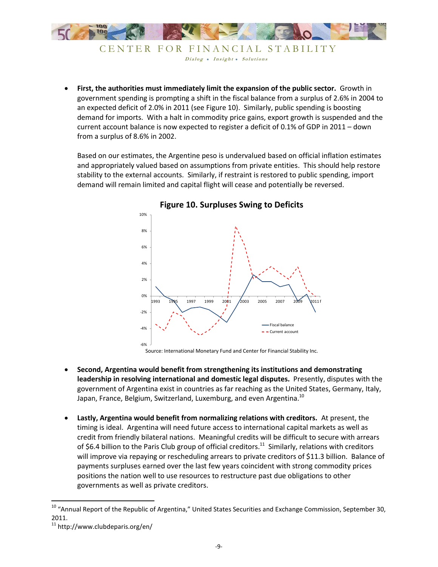

```
 First, the authorities must immediately limit the expansion of the public sector. Growth in 
government spending is prompting a shift in the fiscal balance from a surplus of 2.6% in 2004 to 
an expected deficit of 2.0% in 2011 (see Figure 10). Similarly, public spending is boosting 
demand for imports. With a halt in commodity price gains, export growth is suspended and the 
current account balance is now expected to register a deficit of 0.1% of GDP in 2011 – down
```
Based on our estimates, the Argentine peso is undervalued based on official inflation estimates and appropriately valued based on assumptions from private entities. This should help restore stability to the external accounts. Similarly, if restraint is restored to public spending, import demand will remain limited and capital flight will cease and potentially be reversed.



## **Figure 10. Surpluses Swing to Deficits**

Source: International Monetary Fund and Center for Financial Stability Inc.

- **Second, Argentina would benefit from strengthening its institutions and demonstrating leadership in resolving international and domestic legal disputes.** Presently, disputes with the government of Argentina exist in countries as far reaching as the United States, Germany, Italy, Japan, France, Belgium, Switzerland, Luxemburg, and even Argentina. $^{10}$
- **Lastly, Argentina would benefit from normalizing relations with creditors.** At present, the timing is ideal. Argentina will need future access to international capital markets as well as credit from friendly bilateral nations. Meaningful credits will be difficult to secure with arrears of \$6.4 billion to the Paris Club group of official creditors.<sup>11</sup> Similarly, relations with creditors will improve via repaying or rescheduling arrears to private creditors of \$11.3 billion. Balance of payments surpluses earned over the last few years coincident with strong commodity prices positions the nation well to use resources to restructure past due obligations to other governments as well as private creditors.

l

from a surplus of 8.6% in 2002.

<sup>&</sup>lt;sup>10</sup> "Annual Report of the Republic of Argentina," United States Securities and Exchange Commission, September 30, 2011.

<sup>11</sup> http://www.clubdeparis.org/en/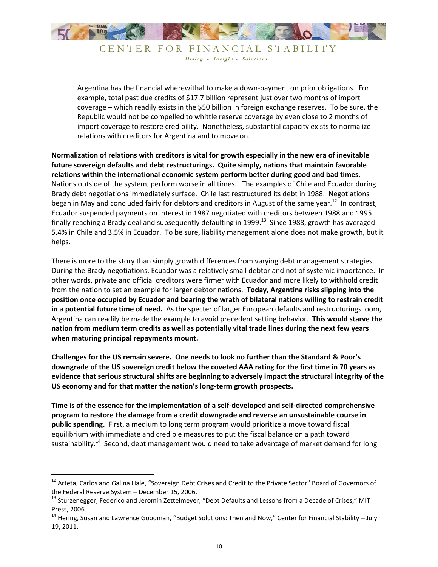

CENTER FOR FINANCIAL STABILITY Dialog . Insight . Solutions

Argentina has the financial wherewithal to make a down-payment on prior obligations. For example, total past due credits of \$17.7 billion represent just over two months of import coverage – which readily exists in the \$50 billion in foreign exchange reserves. To be sure, the Republic would not be compelled to whittle reserve coverage by even close to 2 months of import coverage to restore credibility. Nonetheless, substantial capacity exists to normalize relations with creditors for Argentina and to move on.

**Normalization of relations with creditors is vital for growth especially in the new era of inevitable future sovereign defaults and debt restructurings. Quite simply, nations that maintain favorable relations within the international economic system perform better during good and bad times.** Nations outside of the system, perform worse in all times. The examples of Chile and Ecuador during Brady debt negotiations immediately surface. Chile last restructured its debt in 1988. Negotiations began in May and concluded fairly for debtors and creditors in August of the same year.<sup>12</sup> In contrast, Ecuador suspended payments on interest in 1987 negotiated with creditors between 1988 and 1995 finally reaching a Brady deal and subsequently defaulting in 1999. $^{13}$  Since 1988, growth has averaged 5.4% in Chile and 3.5% in Ecuador. To be sure, liability management alone does not make growth, but it helps.

There is more to the story than simply growth differences from varying debt management strategies. During the Brady negotiations, Ecuador was a relatively small debtor and not of systemic importance. In other words, private and official creditors were firmer with Ecuador and more likely to withhold credit from the nation to set an example for larger debtor nations. **Today, Argentina risks slipping into the position once occupied by Ecuador and bearing the wrath of bilateral nations willing to restrain credit in a potential future time of need.** As the specter of larger European defaults and restructurings loom, Argentina can readily be made the example to avoid precedent setting behavior. **This would starve the nation from medium term credits as well as potentially vital trade lines during the next few years when maturing principal repayments mount.**

**Challenges for the US remain severe. One needs to look no further than the Standard & Poor's downgrade of the US sovereign credit below the coveted AAA rating for the first time in 70 years as evidence that serious structural shifts are beginning to adversely impact the structural integrity of the US economy and for that matter the nation's long-term growth prospects.**

**Time is of the essence for the implementation of a self-developed and self-directed comprehensive program to restore the damage from a credit downgrade and reverse an unsustainable course in public spending.** First, a medium to long term program would prioritize a move toward fiscal equilibrium with immediate and credible measures to put the fiscal balance on a path toward sustainability.<sup>14</sup> Second, debt management would need to take advantage of market demand for long

 $\overline{\phantom{a}}$ 

<sup>&</sup>lt;sup>12</sup> Arteta, Carlos and Galina Hale, "Sovereign Debt Crises and Credit to the Private Sector" Board of Governors of the Federal Reserve System – December 15, 2006.

<sup>&</sup>lt;sup>13</sup> Sturzenegger, Federico and Jeromin Zettelmeyer, "Debt Defaults and Lessons from a Decade of Crises," MIT Press, 2006.

 $14$  Hering, Susan and Lawrence Goodman, "Budget Solutions: Then and Now," Center for Financial Stability – July 19, 2011.